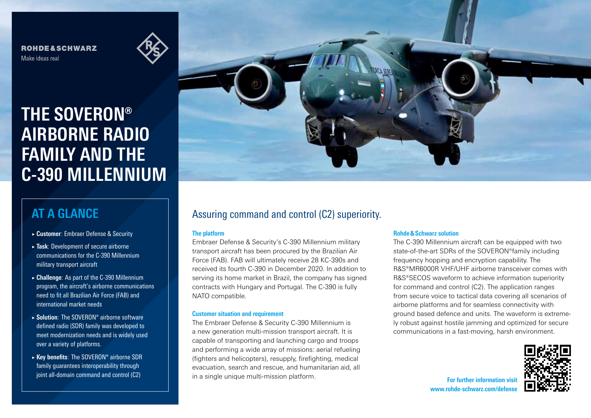**ROHDE&SCHWARZ** Make ideas real

# **THE SOVERON® AIRBORNE RADIO FAMILY AND THE C-390 MILLENNIUM**

### **AT A GLANCE**

- ► **Customer**: Embraer Defense & Security
- ► **Task**: Development of secure airborne communications for the C-390 Millennium military transport aircraft
- ► **Challenge**: As part of the C-390 Millennium program, the aircraft's airborne communications need to fit all Brazilian Air Force (FAB) and international market needs
- ► **Solution**: The SOVERON® airborne software defined radio (SDR) family was developed to meet modernization needs and is widely used over a variety of platforms.
- ► **Key benefits**: The SOVERON® airborne SDR family guarantees interoperability through joint all-domain command and control (C2)



### Assuring command and control (C2) superiority.

#### **The platform**

Embraer Defense & Security's C-390 Millennium military transport aircraft has been procured by the Brazilian Air Force (FAB). FAB will ultimately receive 28 KC-390s and received its fourth C-390 in December 2020. In addition to serving its home market in Brazil, the company has signed contracts with Hungary and Portugal. The C-390 is fully NATO compatible.

#### **Customer situation and requirement**

The Embraer Defense & Security C-390 Millennium is a new generation multi-mission transport aircraft. It is capable of transporting and launching cargo and troops and performing a wide array of missions: aerial refueling (fighters and helicopters), resupply, firefighting, medical evacuation, search and rescue, and humanitarian aid, all in a single unique multi-mission platform.

#### **Rohde&Schwarz solution**

The C-390 Millennium aircraft can be equipped with two state-of-the-art SDRs of the SOVERON®family including frequency hopping and encryption capability. The R&S®MR6000R VHF/UHF airborne transceiver comes with R&S®SECOS waveform to achieve information superiority for command and control (C2). The application ranges from secure voice to tactical data covering all scenarios of airborne platforms and for seamless connectivity with ground based defence and units. The waveform is extremely robust against hostile jamming and optimized for secure communications in a fast-moving, harsh environment.



**For further information visit** www.rohde-schwarz.com/defens